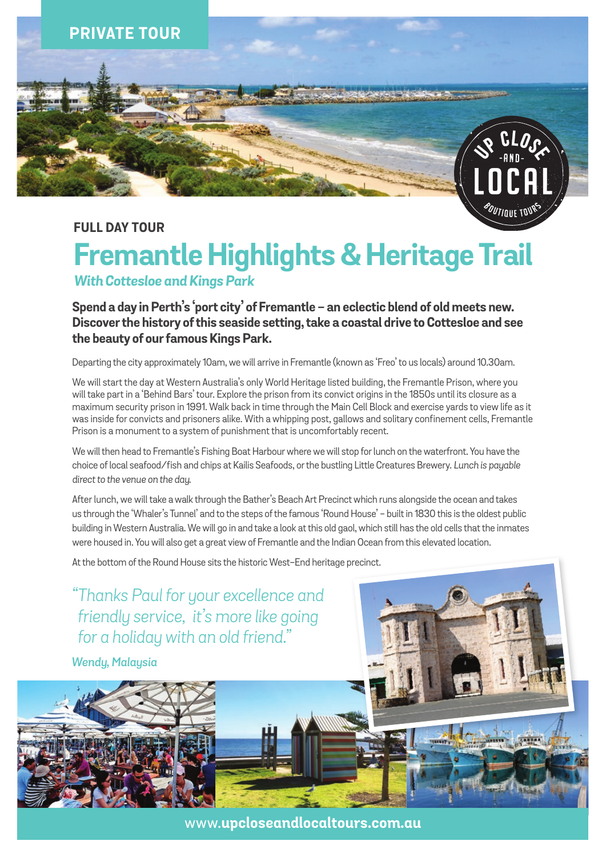

## **full DAY TOUR**

## **Fremantle Highlights & Heritage Trail** *With Cottesloe and Kings Park*

**Spend a day in Perth's 'port city' of Fremantle - an eclectic blend of old meets new. Discover the history of this seaside setting, take a coastal drive to Cottesloe and see the beauty of our famous Kings Park.**

Departing the city approximately 10am, we will arrive in Fremantle (known as 'Freo' to us locals) around 10.30am.

We will start the day at Western Australia's only World Heritage listed building, the Fremantle Prison, where you will take part in a 'Behind Bars' tour. Explore the prison from its convict origins in the 1850s until its closure as a maximum security prison in 1991. Walk back in time through the Main Cell Block and exercise yards to view life as it was inside for convicts and prisoners alike. With a whipping post, gallows and solitary confinement cells, Fremantle Prison is a monument to a system of punishment that is uncomfortably recent.

We will then head to Fremantle's Fishing Boat Harbour where we will stop for lunch on the waterfront. You have the choice of local seafood/fish and chips at Kailis Seafoods, or the bustling Little Creatures Brewery. *Lunch is payable direct to the venue on the day.*

After lunch, we will take a walk through the Bather's Beach Art Precinct which runs alongside the ocean and takes us through the 'Whaler's Tunnel' and to the steps of the famous 'Round House' - built in 1830 this is the oldest public building in Western Australia. We will go in and take a look at this old gaol, which still has the old cells that the inmates were housed in. You will also get a great view of Fremantle and the Indian Ocean from this elevated location.

At the bottom of the Round House sits the historic West-End heritage precinct.

*"Thanks Paul for your excellence and friendly service, it's more like going for a holiday with an old friend."*

*Wendy, Malaysia*



www.**upcloseandlocaltours.com.au**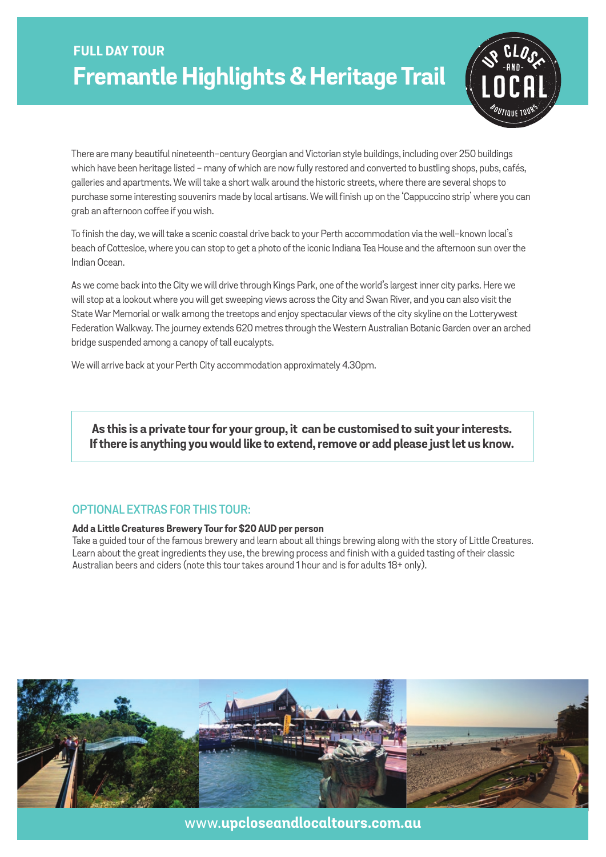# **FULL DAY TOUR Fremantle Highlights & Heritage Trail**



There are many beautiful nineteenth-century Georgian and Victorian style buildings, including over 250 buildings which have been heritage listed - many of which are now fully restored and converted to bustling shops, pubs, cafés, galleries and apartments. We will take a short walk around the historic streets, where there are several shops to purchase some interesting souvenirs made by local artisans. We will finish up on the 'Cappuccino strip' where you can grab an afternoon coffee if you wish.

To finish the day, we will take a scenic coastal drive back to your Perth accommodation via the well-known local's beach of Cottesloe, where you can stop to get a photo of the iconic Indiana Tea House and the afternoon sun over the Indian Ocean.

As we come back into the City we will drive through Kings Park, one of the world's largest inner city parks. Here we will stop at a lookout where you will get sweeping views across the City and Swan River, and you can also visit the State War Memorial or walk among the treetops and enjoy spectacular views of the city skyline on the Lotterywest Federation Walkway. The journey extends 620 metres through the Western Australian Botanic Garden over an arched bridge suspended among a canopy of tall eucalypts.

We will arrive back at your Perth City accommodation approximately 4.30pm.

**As this is a private tour for your group, it can be customised to suit your interests. If there is anything you would like to extend, remove or add please just let us know.**

### **optional extras for this tour:**

#### **Add a Little Creatures Brewery Tour for \$20 AUD per person**

Take a guided tour of the famous brewery and learn about all things brewing along with the story of Little Creatures. Learn about the great ingredients they use, the brewing process and finish with a guided tasting of their classic Australian beers and ciders (note this tour takes around 1 hour and is for adults 18+ only).



www.**upcloseandlocaltours.com.au**